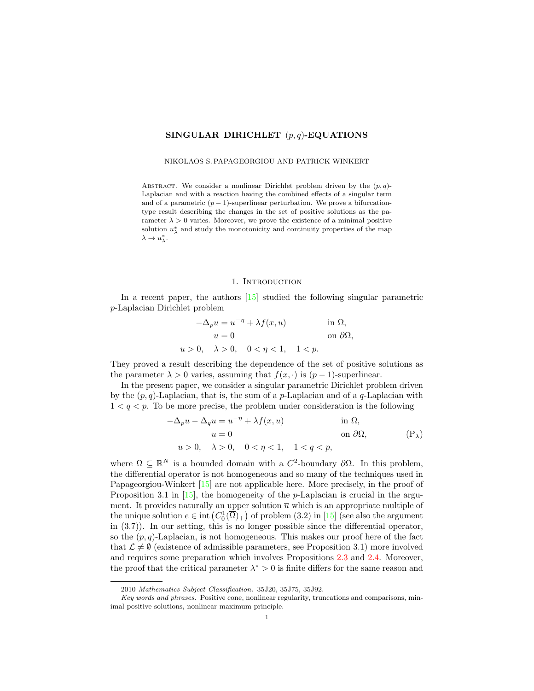## SINGULAR DIRICHLET  $(p, q)$ -EQUATIONS

#### NIKOLAOS S. PAPAGEORGIOU AND PATRICK WINKERT

ABSTRACT. We consider a nonlinear Dirichlet problem driven by the  $(p, q)$ -Laplacian and with a reaction having the combined effects of a singular term and of a parametric  $(p-1)$ -superlinear perturbation. We prove a bifurcationtype result describing the changes in the set of positive solutions as the parameter  $\lambda > 0$  varies. Moreover, we prove the existence of a minimal positive solution  $u_{\lambda}^*$  and study the monotonicity and continuity properties of the map  $\lambda \to u_{\lambda}^*$ .

#### <span id="page-0-0"></span>1. INTRODUCTION

In a recent paper, the authors [\[15\]](#page-17-0) studied the following singular parametric p-Laplacian Dirichlet problem

$$
-\Delta_p u = u^{-\eta} + \lambda f(x, u)
$$
in  $\Omega$ ,  
\n
$$
u = 0
$$
on  $\partial\Omega$ ,  
\n
$$
u > 0, \quad \lambda > 0, \quad 0 < \eta < 1, \quad 1 < p.
$$

They proved a result describing the dependence of the set of positive solutions as the parameter  $\lambda > 0$  varies, assuming that  $f(x, \cdot)$  is  $(p-1)$ -superlinear.

In the present paper, we consider a singular parametric Dirichlet problem driven by the  $(p, q)$ -Laplacian, that is, the sum of a p-Laplacian and of a q-Laplacian with  $1 < q < p$ . To be more precise, the problem under consideration is the following

$$
-\Delta_p u - \Delta_q u = u^{-\eta} + \lambda f(x, u)
$$
in  $\Omega$ ,  
\n $u = 0$ on  $\partial\Omega$ ,  
\n $u > 0$ ,  $\lambda > 0$ ,  $0 < \eta < 1$ ,  $1 < q < p$ , (P<sub>\lambda</sub>)

where  $\Omega \subseteq \mathbb{R}^N$  is a bounded domain with a  $C^2$ -boundary  $\partial\Omega$ . In this problem, the differential operator is not homogeneous and so many of the techniques used in Papageorgiou-Winkert [\[15\]](#page-17-0) are not applicable here. More precisely, in the proof of Proposition 3.1 in  $[15]$ , the homogeneity of the *p*-Laplacian is crucial in the argument. It provides naturally an upper solution  $\overline{u}$  which is an appropriate multiple of the unique solution  $e \in \text{int}(C_0^1(\overline{\Omega})_+)$  of problem  $(3.2)$  in  $[15]$  (see also the argument in (3.7)). In our setting, this is no longer possible since the differential operator, so the  $(p, q)$ -Laplacian, is not homogeneous. This makes our proof here of the fact that  $\mathcal{L} \neq \emptyset$  (existence of admissible parameters, see Proposition 3.1) more involved and requires some preparation which involves Propositions [2.3](#page-4-0) and [2.4.](#page-5-0) Moreover, the proof that the critical parameter  $\lambda^* > 0$  is finite differs for the same reason and

<sup>2010</sup> Mathematics Subject Classification. 35J20, 35J75, 35J92.

Key words and phrases. Positive cone, nonlinear regularity, truncations and comparisons, minimal positive solutions, nonlinear maximum principle.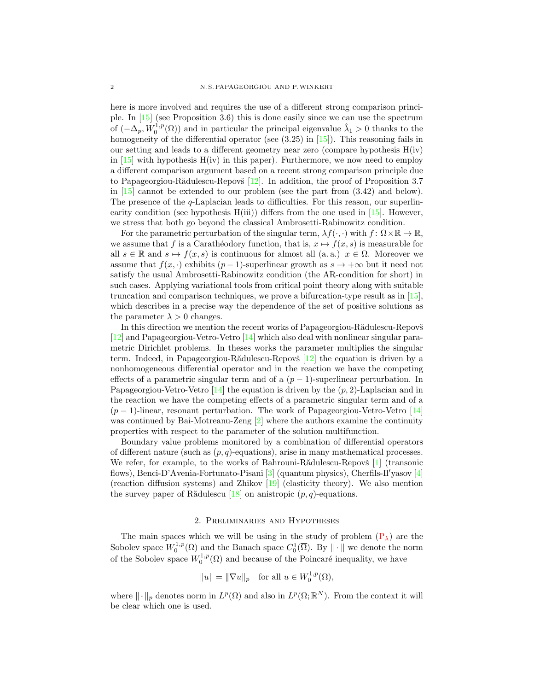here is more involved and requires the use of a different strong comparison principle. In [\[15\]](#page-17-0) (see Proposition 3.6) this is done easily since we can use the spectrum of  $(-\Delta_p, W_0^{1,p}(\Omega))$  and in particular the principal eigenvalue  $\hat{\lambda}_1 > 0$  thanks to the homogeneity of the differential operator (see  $(3.25)$  in [\[15\]](#page-17-0)). This reasoning fails in our setting and leads to a different geometry near zero (compare hypothesis  $H(iv)$ ) in  $[15]$  with hypothesis  $H(iv)$  in this paper). Furthermore, we now need to employ a different comparison argument based on a recent strong comparison principle due to Papageorgiou-Rădulescu-Repovš  $[12]$ . In addition, the proof of Proposition 3.7 in  $[15]$  cannot be extended to our problem (see the part from  $(3.42)$ ) and below). The presence of the q-Laplacian leads to difficulties. For this reason, our superlinearity condition (see hypothesis  $H(iii)$ ) differs from the one used in [\[15\]](#page-17-0). However, we stress that both go beyond the classical Ambrosetti-Rabinowitz condition.

For the parametric perturbation of the singular term,  $\lambda f(\cdot, \cdot)$  with  $f: \Omega \times \mathbb{R} \to \mathbb{R}$ , we assume that f is a Carathéodory function, that is,  $x \mapsto f(x, s)$  is measurable for all  $s \in \mathbb{R}$  and  $s \mapsto f(x, s)$  is continuous for almost all (a. a.)  $x \in \Omega$ . Moreover we assume that  $f(x, \cdot)$  exhibits  $(p-1)$ -superlinear growth as  $s \to +\infty$  but it need not satisfy the usual Ambrosetti-Rabinowitz condition (the AR-condition for short) in such cases. Applying variational tools from critical point theory along with suitable truncation and comparison techniques, we prove a bifurcation-type result as in [\[15\]](#page-17-0), which describes in a precise way the dependence of the set of positive solutions as the parameter  $\lambda > 0$  changes.

In this direction we mention the recent works of Papageorgiou-R $\ddot{a}$ dulescu-Repovš [\[12\]](#page-17-1) and Papageorgiou-Vetro-Vetro [\[14\]](#page-17-2) which also deal with nonlinear singular parametric Dirichlet problems. In theses works the parameter multiplies the singular term. Indeed, in Papageorgiou-Rădulescu-Repovš  $[12]$  the equation is driven by a nonhomogeneous differential operator and in the reaction we have the competing effects of a parametric singular term and of a  $(p-1)$ -superlinear perturbation. In Papageorgiou-Vetro-Vetro  $[14]$  the equation is driven by the  $(p, 2)$ -Laplacian and in the reaction we have the competing effects of a parametric singular term and of a  $(p-1)$ -linear, resonant perturbation. The work of Papageorgiou-Vetro-Vetro [\[14\]](#page-17-2) was continued by Bai-Motreanu-Zeng  $[2]$  where the authors examine the continuity properties with respect to the parameter of the solution multifunction.

Boundary value problems monitored by a combination of differential operators of different nature (such as  $(p, q)$ -equations), arise in many mathematical processes. We refer, for example, to the works of Bahrouni-R $\ddot{\text{a}}$ dulescu-Repov $\ddot{\text{s}}$  [\[1\]](#page-16-1) (transonic flows), Benci-D'Avenia-Fortunato-Pisani [\[3\]](#page-16-2) (quantum physics), Cherfils-Il'yasov [\[4\]](#page-16-3) (reaction diffusion systems) and Zhikov [\[19\]](#page-17-3) (elasticity theory). We also mention the survey paper of Rădulescu [\[18\]](#page-17-4) on anistropic  $(p, q)$ -equations.

## 2. Preliminaries and Hypotheses

The main spaces which we will be using in the study of problem  $(P_{\lambda})$  $(P_{\lambda})$  are the Sobolev space  $W_0^{1,p}(\Omega)$  and the Banach space  $C_0^1(\overline{\Omega})$ . By  $\|\cdot\|$  we denote the norm of the Sobolev space  $W_0^{1,p}(\Omega)$  and because of the Poincaré inequality, we have

$$
||u|| = ||\nabla u||_p
$$
 for all  $u \in W_0^{1,p}(\Omega)$ ,

where  $\|\cdot\|_p$  denotes norm in  $L^p(\Omega)$  and also in  $L^p(\Omega;\mathbb{R}^N)$ . From the context it will be clear which one is used.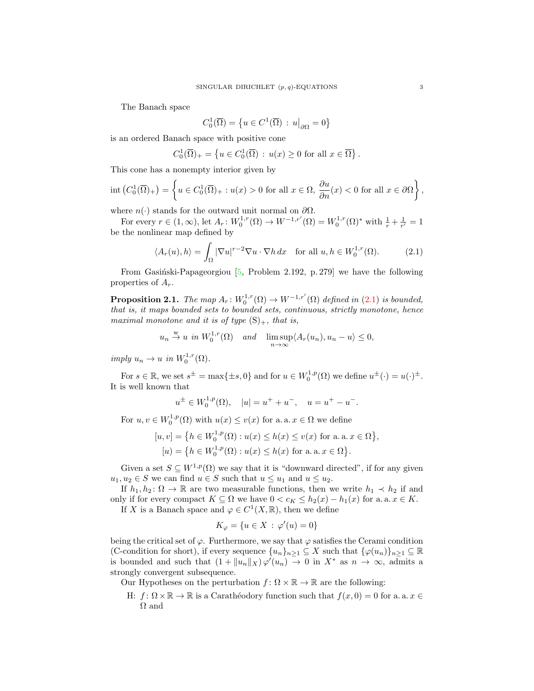The Banach space

<span id="page-2-0"></span>
$$
C_0^1(\overline{\Omega}) = \left\{ u \in C^1(\overline{\Omega}) : u\big|_{\partial\Omega} = 0 \right\}
$$

is an ordered Banach space with positive cone

$$
C_0^1(\overline{\Omega})_+ = \left\{ u \in C_0^1(\overline{\Omega}) : u(x) \ge 0 \text{ for all } x \in \overline{\Omega} \right\}.
$$

This cone has a nonempty interior given by

$$
\operatorname{int}\left(C_0^1(\overline{\Omega})_+\right) = \left\{ u \in C_0^1(\overline{\Omega})_+ : u(x) > 0 \text{ for all } x \in \Omega, \frac{\partial u}{\partial n}(x) < 0 \text{ for all } x \in \partial\Omega \right\},\
$$

where  $n(\cdot)$  stands for the outward unit normal on  $\partial\Omega$ .

For every  $r \in (1, \infty)$ , let  $A_r: W_0^{1,r}(\Omega) \to W^{-1,r'}(\Omega) = W_0^{1,r}(\Omega)^*$  with  $\frac{1}{r} + \frac{1}{r'} = 1$ be the nonlinear map defined by

$$
\langle A_r(u), h \rangle = \int_{\Omega} |\nabla u|^{r-2} \nabla u \cdot \nabla h \, dx \quad \text{for all } u, h \in W_0^{1,r}(\Omega). \tag{2.1}
$$

From Gasiński-Papageorgiou  $[5,$  Problem 2.192, p. 279] we have the following properties of  $A_r$ .

<span id="page-2-1"></span>**Proposition 2.1.** The map  $A_r: W_0^{1,r}(\Omega) \to W^{-1,r'}(\Omega)$  defined in [\(2.1\)](#page-2-0) is bounded, that is, it maps bounded sets to bounded sets, continuous, strictly monotone, hence maximal monotone and it is of type  $(S)_+$ , that is,

$$
u_n \stackrel{w}{\rightarrow} u
$$
 in  $W_0^{1,r}(\Omega)$  and  $\lim_{n \to \infty} \sup \langle A_r(u_n), u_n - u \rangle \leq 0$ ,

imply  $u_n \to u$  in  $W_0^{1,r}(\Omega)$ .

For  $s \in \mathbb{R}$ , we set  $s^{\pm} = \max\{\pm s, 0\}$  and for  $u \in W_0^{1,p}(\Omega)$  we define  $u^{\pm}(\cdot) = u(\cdot)^{\pm}$ . It is well known that

$$
u^{\pm} \in W_0^{1,p}(\Omega), \quad |u| = u^+ + u^-, \quad u = u^+ - u^-.
$$

For  $u, v \in W_0^{1,p}(\Omega)$  with  $u(x) \le v(x)$  for a. a.  $x \in \Omega$  we define

$$
[u, v] = \{ h \in W_0^{1, p}(\Omega) : u(x) \le h(x) \le v(x) \text{ for a. a. } x \in \Omega \},
$$
  

$$
[u] = \{ h \in W_0^{1, p}(\Omega) : u(x) \le h(x) \text{ for a. a. } x \in \Omega \}.
$$

Given a set  $S \subseteq W^{1,p}(\Omega)$  we say that it is "downward directed", if for any given  $u_1, u_2 \in S$  we can find  $u \in S$  such that  $u \leq u_1$  and  $u \leq u_2$ .

If  $h_1, h_2: \Omega \to \mathbb{R}$  are two measurable functions, then we write  $h_1 \prec h_2$  if and only if for every compact  $K \subseteq \Omega$  we have  $0 < c_K \leq h_2(x) - h_1(x)$  for a. a.  $x \in K$ .

If X is a Banach space and  $\varphi \in C^1(X, \mathbb{R})$ , then we define

$$
K_{\varphi} = \{ u \in X \, : \, \varphi'(u) = 0 \}
$$

being the critical set of  $\varphi$ . Furthermore, we say that  $\varphi$  satisfies the Cerami condition (C-condition for short), if every sequence  $\{u_n\}_{n\geq 1} \subseteq X$  such that  $\{\varphi(u_n)\}_{n\geq 1} \subseteq \mathbb{R}$ is bounded and such that  $(1 + ||u_n||_X) \varphi'(u_n) \to 0$  in  $X^*$  as  $n \to \infty$ , admits a strongly convergent subsequence.

Our Hypotheses on the perturbation  $f: \Omega \times \mathbb{R} \to \mathbb{R}$  are the following:

H:  $f: \Omega \times \mathbb{R} \to \mathbb{R}$  is a Caratheodory function such that  $f(x, 0) = 0$  for a. a.  $x \in$  $\Omega$  and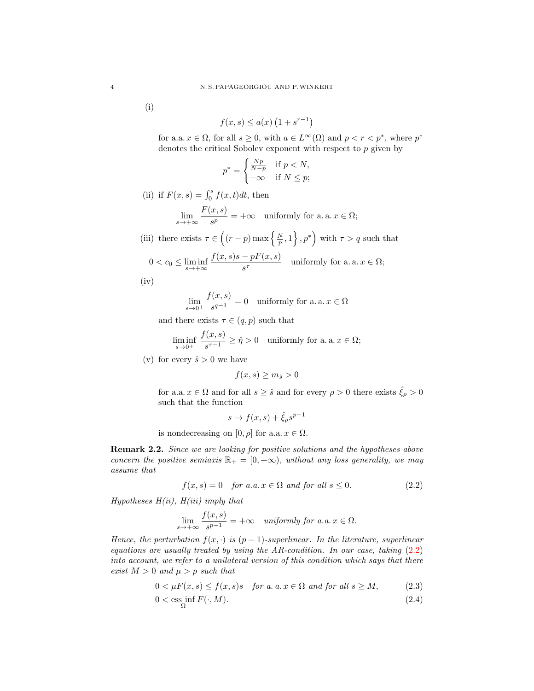(i)

$$
f(x,s) \le a(x) \left(1 + s^{r-1}\right)
$$

for a.a.  $x \in \Omega$ , for all  $s \geq 0$ , with  $a \in L^{\infty}(\Omega)$  and  $p < r < p^*$ , where  $p^*$ denotes the critical Sobolev exponent with respect to  $p$  given by

$$
p^* = \begin{cases} \frac{Np}{N-p} & \text{if } p < N, \\ +\infty & \text{if } N \le p; \end{cases}
$$

(ii) if  $F(x, s) = \int_0^s f(x, t)dt$ , then

$$
\lim_{s \to +\infty} \frac{F(x, s)}{s^p} = +\infty \quad \text{uniformly for a. a. } x \in \Omega;
$$

(iii) there exists  $\tau \in \left( (r-p) \max \left\{ \frac{N}{p}, 1 \right\}, p^* \right)$  with  $\tau > q$  such that

$$
0 < c_0 \le \liminf_{s \to +\infty} \frac{f(x,s)s - pF(x,s)}{s^{\tau}} \quad \text{uniformly for a. a. } x \in \Omega;
$$

 $(iv)$ 

$$
\lim_{s\to 0^+}\frac{f(x,s)}{s^{q-1}}=0\quad\text{uniformly for a.\,a.\,x}\in\Omega
$$

and there exists  $\tau \in (q, p)$  such that

$$
\liminf_{s \to 0^+} \frac{f(x,s)}{s^{\tau - 1}} \ge \hat{\eta} > 0 \quad \text{uniformly for a. a. } x \in \Omega;
$$

(v) for every  $\hat{s} > 0$  we have

$$
f(x,s) \ge m_{\hat{s}} > 0
$$

for a.a.  $x \in \Omega$  and for all  $s \geq \hat{s}$  and for every  $\rho > 0$  there exists  $\hat{\xi}_{\rho} > 0$ such that the function

<span id="page-3-0"></span>
$$
s \to f(x, s) + \hat{\xi}_{\rho} s^{p-1}
$$

is nondecreasing on [0,  $\rho$ ] for a.a.  $x \in \Omega$ .

Remark 2.2. Since we are looking for positive solutions and the hypotheses above concern the positive semiaxis  $\mathbb{R}_+ = [0, +\infty)$ , without any loss generality, we may assume that

$$
f(x,s) = 0 \quad \text{for a.a. } x \in \Omega \text{ and for all } s \le 0. \tag{2.2}
$$

Hypotheses  $H(ii)$ ,  $H(iii)$  imply that

<span id="page-3-2"></span><span id="page-3-1"></span>
$$
\lim_{s \to +\infty} \frac{f(x,s)}{s^{p-1}} = +\infty \quad \text{uniformly for a.a. } x \in \Omega.
$$

Hence, the perturbation  $f(x, \cdot)$  is  $(p-1)$ -superlinear. In the literature, superlinear equations are usually treated by using the  $AR$ -condition. In our case, taking  $(2.2)$ into account, we refer to a unilateral version of this condition which says that there exist  $M > 0$  and  $\mu > p$  such that

$$
0 < \mu F(x, s) \le f(x, s)s \quad \text{for a. a. } x \in \Omega \text{ and for all } s \ge M,\tag{2.3}
$$

$$
0 < \operatorname{ess\,inf}_{\Omega} F(\cdot, M). \tag{2.4}
$$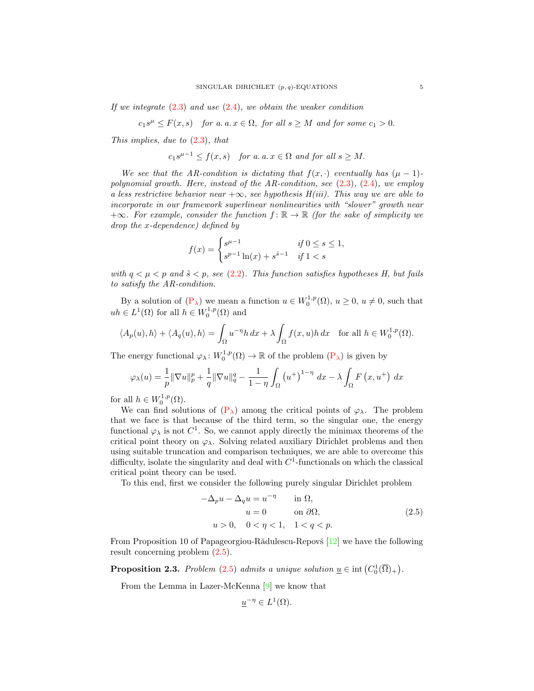If we integrate  $(2.3)$  and use  $(2.4)$ , we obtain the weaker condition

 $c_1s^{\mu} \leq F(x,s)$  for a. a.  $x \in \Omega$ , for all  $s \geq M$  and for some  $c_1 > 0$ .

This implies, due to  $(2.3)$ , that

$$
c_1s^{\mu-1} \le f(x,s)
$$
 for a.  $a, x \in \Omega$  and for all  $s \ge M$ .

We see that the AR-condition is dictating that  $f(x, \cdot)$  eventually has  $(\mu - 1)$ polynomial growth. Here, instead of the AR-condition, see  $(2.3)$ ,  $(2.4)$ , we employ a less restrictive behavior near  $+\infty$ , see hypothesis H(iii). This way we are able to incorporate in our framework superlinear nonlinearities with "slower" growth near  $+\infty$ . For example, consider the function  $f : \mathbb{R} \to \mathbb{R}$  (for the sake of simplicity we drop the x-dependence) defined by

$$
f(x) = \begin{cases} s^{\mu - 1} & \text{if } 0 \le s \le 1, \\ s^{p - 1} \ln(x) + s^{\tilde{s} - 1} & \text{if } 1 < s \end{cases}
$$

with  $q < \mu < p$  and  $\tilde{s} < p$ , see [\(2.2\)](#page-3-0). This function satisfies hypotheses H, but fails to satisfy the AR-condition.

By a solution of  $(P_\lambda)$  $(P_\lambda)$  we mean a function  $u \in W_0^{1,p}(\Omega)$ ,  $u \geq 0$ ,  $u \neq 0$ , such that  $uh \in L^1(\Omega)$  for all  $h \in W_0^{1,p}(\Omega)$  and

$$
\langle A_p(u), h \rangle + \langle A_q(u), h \rangle = \int_{\Omega} u^{-\eta} h \, dx + \lambda \int_{\Omega} f(x, u) h \, dx \quad \text{for all } h \in W_0^{1, p}(\Omega).
$$

The energy functional  $\varphi_\lambda\colon W_0^{1,p}(\Omega) \to \mathbb{R}$  of the problem  $(P_\lambda)$  $(P_\lambda)$  is given by

$$
\varphi_{\lambda}(u) = \frac{1}{p} \|\nabla u\|_{p}^{p} + \frac{1}{q} \|\nabla u\|_{q}^{q} - \frac{1}{1-\eta} \int_{\Omega} \left(u^{+}\right)^{1-\eta} dx - \lambda \int_{\Omega} F\left(x, u^{+}\right) dx
$$

for all  $h \in W_0^{1,p}(\Omega)$ .

We can find solutions of  $(P_{\lambda})$  $(P_{\lambda})$  among the critical points of  $\varphi_{\lambda}$ . The problem that we face is that because of the third term, so the singular one, the energy functional  $\varphi_{\lambda}$  is not  $C^{1}$ . So, we cannot apply directly the minimax theorems of the critical point theory on  $\varphi_{\lambda}$ . Solving related auxiliary Dirichlet problems and then using suitable truncation and comparison techniques, we are able to overcome this difficulty, isolate the singularity and deal with  $C<sup>1</sup>$ -functionals on which the classical critical point theory can be used.

To this end, first we consider the following purely singular Dirichlet problem

<span id="page-4-1"></span>
$$
-\Delta_p u - \Delta_q u = u^{-\eta} \quad \text{in } \Omega,
$$
  
\n
$$
u = 0 \quad \text{on } \partial\Omega,
$$
  
\n
$$
u > 0, \quad 0 < \eta < 1, \quad 1 < q < p.
$$
  
\n(2.5)

From Proposition 10 of Papageorgiou-R $\ddot{\text{a}}$ dulescu-Repovš [\[12\]](#page-17-1) we have the following result concerning problem [\(2.5\)](#page-4-1).

<span id="page-4-0"></span>**Proposition 2.3.** Problem [\(2.5\)](#page-4-1) admits a unique solution  $\underline{u} \in \text{int}(C_0^1(\overline{\Omega})_+)$ .

From the Lemma in Lazer-McKenna [\[9\]](#page-17-5) we know that

$$
\underline{u}^{-\eta} \in L^1(\Omega).
$$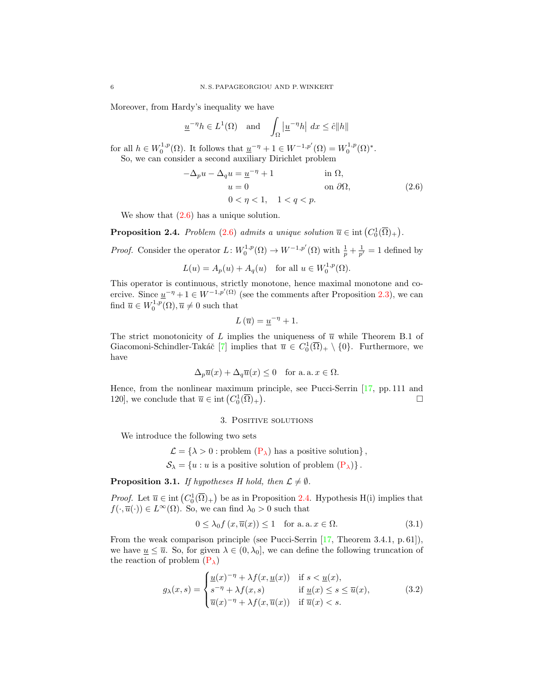Moreover, from Hardy's inequality we have

$$
\underline{u}^{-\eta}h \in L^1(\Omega) \quad \text{and} \quad \int_{\Omega} \left| \underline{u}^{-\eta}h \right| \, dx \leq \hat{c} \|h\|
$$

for all  $h \in W_0^{1,p}(\Omega)$ . It follows that  $\underline{u}^{-\eta} + 1 \in W^{-1,p'}(\Omega) = W_0^{1,p}(\Omega)^*$ . So, we can consider a second auxiliary Dirichlet problem

<span id="page-5-1"></span>
$$
-\Delta_p u - \Delta_q u = \underline{u}^{-\eta} + 1 \qquad \text{in } \Omega,
$$
  
\n
$$
u = 0 \qquad \text{on } \partial\Omega,
$$
  
\n
$$
0 < \eta < 1, \quad 1 < q < p. \tag{2.6}
$$

We show that  $(2.6)$  has a unique solution.

<span id="page-5-0"></span>**Proposition 2.4.** Problem [\(2.6\)](#page-5-1) admits a unique solution  $\overline{u} \in \text{int}(C_0^1(\overline{\Omega})_+)$ .

*Proof.* Consider the operator  $L: W_0^{1,p}(\Omega) \to W^{-1,p'}(\Omega)$  with  $\frac{1}{p} + \frac{1}{p'} = 1$  defined by  $L(u) = A_p(u) + A_q(u)$  for all  $u \in W_0^{1,p}(\Omega)$ .

This operator is continuous, strictly monotone, hence maximal monotone and coercive. Since  $\underline{u}^{-\eta} + 1 \in W^{-1,p'(\Omega)}$  (see the comments after Proposition [2.3\)](#page-4-0), we can find  $\overline{u} \in W_0^{1,p}(\Omega), \overline{u} \neq 0$  such that

$$
L\left(\overline{u}\right) = \underline{u}^{-\eta} + 1.
$$

The strict monotonicity of L implies the uniqueness of  $\bar{u}$  while Theorem B.1 of Giacomoni-Schindler-Takáč [\[7\]](#page-16-5) implies that  $\overline{u} \in C_0^1(\overline{\Omega})_+ \setminus \{0\}$ . Furthermore, we have

$$
\Delta_p \overline{u}(x) + \Delta_q \overline{u}(x) \le 0 \quad \text{for a. a. } x \in \Omega.
$$

Hence, from the nonlinear maximum principle, see Pucci-Serrin [\[17,](#page-17-6) pp. 111 and 120], we conclude that  $\overline{u} \in \text{int}\left(C_0^1(\overline{\Omega})_+\right)$ . В последните последните последните последните последните последните последните последните последните последн<br>В последните последните последните последните последните последните последните последните последните последнит

#### <span id="page-5-3"></span>3. Positive solutions

We introduce the following two sets

 $\mathcal{L} = \{\lambda > 0 :$  problem  $(P_{\lambda})$  $(P_{\lambda})$  has a positive solution},  $S_{\lambda} = \{u : u \text{ is a positive solution of problem } (\mathbf{P}_{\lambda})\}.$ 

**Proposition 3.1.** If hypotheses H hold, then  $\mathcal{L} \neq \emptyset$ .

*Proof.* Let  $\overline{u} \in \text{int}(C_0^1(\overline{\Omega})_+)$  be as in Proposition [2.4.](#page-5-0) Hypothesis H(i) implies that  $f(\cdot,\overline{u}(\cdot)) \in L^{\infty}(\Omega)$ . So, we can find  $\lambda_0 > 0$  such that

<span id="page-5-2"></span>
$$
0 \le \lambda_0 f(x, \overline{u}(x)) \le 1 \quad \text{for a. a. } x \in \Omega. \tag{3.1}
$$

From the weak comparison principle (see Pucci-Serrin [\[17,](#page-17-6) Theorem 3.4.1, p. 61]), we have  $u \leq \overline{u}$ . So, for given  $\lambda \in (0, \lambda_0]$ , we can define the following truncation of the reaction of problem  $(P_{\lambda})$  $(P_{\lambda})$ 

$$
g_{\lambda}(x,s) = \begin{cases} \underline{u}(x)^{-\eta} + \lambda f(x, \underline{u}(x)) & \text{if } s < \underline{u}(x), \\ s^{-\eta} + \lambda f(x,s) & \text{if } \underline{u}(x) \le s \le \overline{u}(x), \\ \overline{u}(x)^{-\eta} + \lambda f(x, \overline{u}(x)) & \text{if } \overline{u}(x) < s. \end{cases}
$$
(3.2)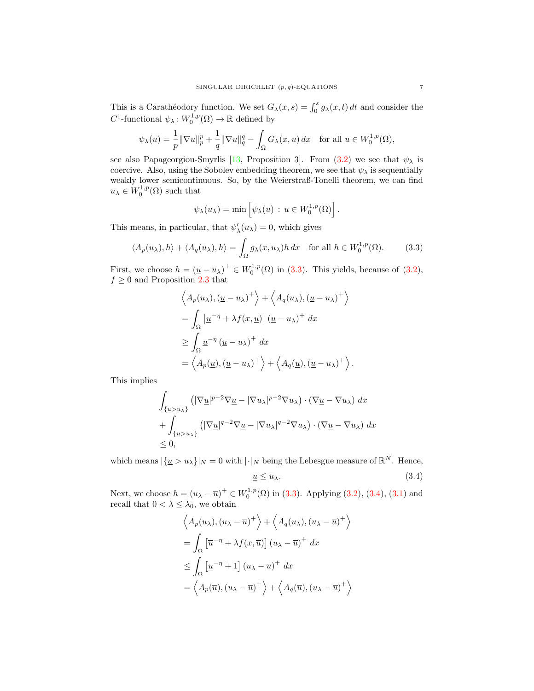This is a Carathéodory function. We set  $G_{\lambda}(x, s) = \int_0^s g_{\lambda}(x, t) dt$  and consider the  $C^1$ -functional  $\psi_\lambda\colon W_0^{1,p}(\Omega) \to \mathbb{R}$  defined by

$$
\psi_{\lambda}(u) = \frac{1}{p} \|\nabla u\|_{p}^{p} + \frac{1}{q} \|\nabla u\|_{q}^{q} - \int_{\Omega} G_{\lambda}(x, u) dx \quad \text{for all } u \in W_{0}^{1, p}(\Omega),
$$

see also Papageorgiou-Smyrlis [\[13,](#page-17-7) Proposition 3]. From [\(3.2\)](#page-5-2) we see that  $\psi_{\lambda}$  is coercive. Also, using the Sobolev embedding theorem, we see that  $\psi_{\lambda}$  is sequentially weakly lower semicontinuous. So, by the Weierstraß-Tonelli theorem, we can find  $u_{\lambda} \in W_0^{1,p}(\Omega)$  such that

<span id="page-6-0"></span>
$$
\psi_{\lambda}(u_{\lambda}) = \min \left[ \psi_{\lambda}(u) : u \in W_0^{1,p}(\Omega) \right].
$$

This means, in particular, that  $\psi'_{\lambda}(u_{\lambda}) = 0$ , which gives

$$
\langle A_p(u_\lambda), h \rangle + \langle A_q(u_\lambda), h \rangle = \int_{\Omega} g_\lambda(x, u_\lambda) h \, dx \quad \text{for all } h \in W_0^{1, p}(\Omega). \tag{3.3}
$$

First, we choose  $h = (\underline{u} - u_\lambda)^+ \in W_0^{1,p}(\Omega)$  in [\(3.3\)](#page-6-0). This yields, because of [\(3.2\)](#page-5-2),  $f \geq 0$  and Proposition [2.3](#page-4-0) that

$$
\left\langle A_p(u_\lambda), (\underline{u} - u_\lambda)^+ \right\rangle + \left\langle A_q(u_\lambda), (\underline{u} - u_\lambda)^+ \right\rangle
$$
  
= 
$$
\int_{\Omega} \left[ \underline{u}^{-\eta} + \lambda f(x, \underline{u}) \right] (\underline{u} - u_\lambda)^+ dx
$$
  

$$
\geq \int_{\Omega} \underline{u}^{-\eta} (\underline{u} - u_\lambda)^+ dx
$$
  
= 
$$
\left\langle A_p(\underline{u}), (\underline{u} - u_\lambda)^+ \right\rangle + \left\langle A_q(\underline{u}), (\underline{u} - u_\lambda)^+ \right\rangle.
$$

This implies

$$
\int_{\{\underline{u}>u_{\lambda}\}}\left(|\nabla \underline{u}|^{p-2}\nabla \underline{u}-|\nabla u_{\lambda}|^{p-2}\nabla u_{\lambda}\right)\cdot\left(\nabla \underline{u}-\nabla u_{\lambda}\right)dx
$$
\n
$$
+\int_{\{\underline{u}>u_{\lambda}\}}\left(|\nabla \underline{u}|^{q-2}\nabla \underline{u}-|\nabla u_{\lambda}|^{q-2}\nabla u_{\lambda}\right)\cdot\left(\nabla \underline{u}-\nabla u_{\lambda}\right)dx
$$
\n
$$
\leq 0,
$$

which means  $|\{\underline{u} > u_\lambda\}|_N = 0$  with  $|\cdot|_N$  being the Lebesgue measure of  $\mathbb{R}^N$ . Hence,

<span id="page-6-1"></span>
$$
\underline{u} \le u_{\lambda}.\tag{3.4}
$$

Next, we choose  $h = (u_{\lambda} - \overline{u})^+ \in W_0^{1,p}(\Omega)$  in [\(3.3\)](#page-6-0). Applying [\(3.2\)](#page-5-2), [\(3.4\)](#page-6-1), [\(3.1\)](#page-5-3) and recall that  $0 < \lambda \leq \lambda_0$ , we obtain

$$
\left\langle A_p(u_\lambda), (u_\lambda - \overline{u})^+ \right\rangle + \left\langle A_q(u_\lambda), (u_\lambda - \overline{u})^+ \right\rangle
$$
  
= 
$$
\int_{\Omega} \left[ \overline{u}^{-\eta} + \lambda f(x, \overline{u}) \right] (u_\lambda - \overline{u})^+ dx
$$
  

$$
\leq \int_{\Omega} \left[ \underline{u}^{-\eta} + 1 \right] (u_\lambda - \overline{u})^+ dx
$$
  
= 
$$
\left\langle A_p(\overline{u}), (u_\lambda - \overline{u})^+ \right\rangle + \left\langle A_q(\overline{u}), (u_\lambda - \overline{u})^+ \right\rangle
$$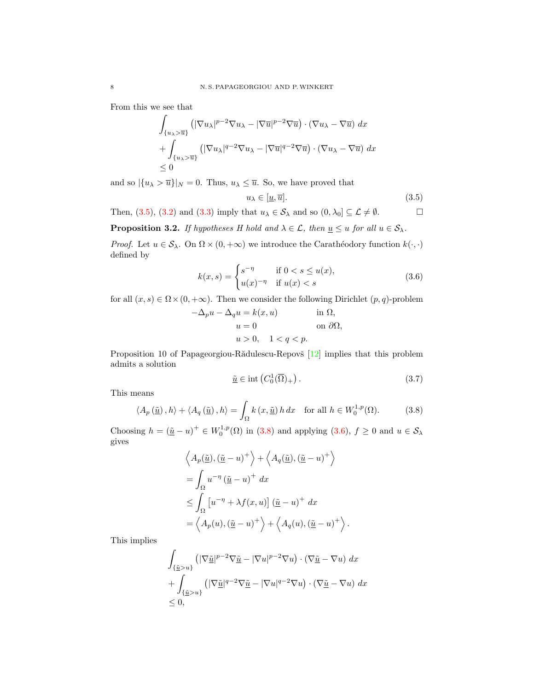From this we see that

$$
\int_{\{u_{\lambda}>\overline{u}\}} \left( |\nabla u_{\lambda}|^{p-2} \nabla u_{\lambda} - |\nabla \overline{u}|^{p-2} \nabla \overline{u} \right) \cdot \left( \nabla u_{\lambda} - \nabla \overline{u} \right) dx
$$
\n
$$
+ \int_{\{u_{\lambda}>\overline{u}\}} \left( |\nabla u_{\lambda}|^{q-2} \nabla u_{\lambda} - |\nabla \overline{u}|^{q-2} \nabla \overline{u} \right) \cdot \left( \nabla u_{\lambda} - \nabla \overline{u} \right) dx
$$
\n
$$
\leq 0
$$

and so  $|\{u_\lambda > \overline{u}\}|_N = 0$ . Thus,  $u_\lambda \leq \overline{u}$ . So, we have proved that

<span id="page-7-2"></span><span id="page-7-0"></span>
$$
u_{\lambda} \in [\underline{u}, \overline{u}]. \tag{3.5}
$$

Then, [\(3.5\)](#page-7-0), [\(3.2\)](#page-5-2) and [\(3.3\)](#page-6-0) imply that  $u_{\lambda} \in S_{\lambda}$  and so  $(0, \lambda_0] \subseteq \mathcal{L} \neq \emptyset$ .

<span id="page-7-4"></span>**Proposition 3.2.** If hypotheses H hold and  $\lambda \in \mathcal{L}$ , then  $\underline{u} \leq u$  for all  $u \in \mathcal{S}_{\lambda}$ .

*Proof.* Let  $u \in \mathcal{S}_{\lambda}$ . On  $\Omega \times (0, +\infty)$  we introduce the Carathéodory function  $k(\cdot, \cdot)$ defined by

$$
k(x,s) = \begin{cases} s^{-\eta} & \text{if } 0 < s \le u(x), \\ u(x)^{-\eta} & \text{if } u(x) < s \end{cases}
$$
 (3.6)

for all  $(x, s) \in \Omega \times (0, +\infty)$ . Then we consider the following Dirichlet  $(p, q)$ -problem

$$
-\Delta_p u - \Delta_q u = k(x, u)
$$
in  $\Omega$ ,  
\n $u = 0$ on  $\partial\Omega$ ,  
\n $u > 0$ ,  $1 < q < p$ .

Proposition 10 of Papageorgiou-R $\ddot{\text{add}}$ ulescu-Repov $\check{\text{s}}$  [\[12\]](#page-17-1) implies that this problem admits a solution

<span id="page-7-3"></span><span id="page-7-1"></span>
$$
\underline{\tilde{u}} \in \text{int}\left(C_0^1(\overline{\Omega})_+\right). \tag{3.7}
$$

This means

$$
\langle A_p(\underline{\tilde{u}}), h \rangle + \langle A_q(\underline{\tilde{u}}), h \rangle = \int_{\Omega} k(x, \underline{\tilde{u}}) h \, dx \quad \text{for all } h \in W_0^{1, p}(\Omega). \tag{3.8}
$$

Choosing  $h = (\underline{\tilde{u}} - u)^+ \in W_0^{1,p}(\Omega)$  in [\(3.8\)](#page-7-1) and applying [\(3.6\)](#page-7-2),  $f \ge 0$  and  $u \in \mathcal{S}_\lambda$ gives

$$
\left\langle A_p(\tilde{\underline{u}}), (\tilde{\underline{u}} - u)^+ \right\rangle + \left\langle A_q(\tilde{\underline{u}}), (\tilde{\underline{u}} - u)^+ \right\rangle
$$
  
=  $\int_{\Omega} u^{-\eta} (\tilde{\underline{u}} - u)^+ dx$   
 $\leq \int_{\Omega} [u^{-\eta} + \lambda f(x, u)] (\tilde{\underline{u}} - u)^+ dx$   
=  $\left\langle A_p(u), (\tilde{\underline{u}} - u)^+ \right\rangle + \left\langle A_q(u), (\tilde{\underline{u}} - u)^+ \right\rangle.$ 

This implies

$$
\int_{\{\underline{\tilde{u}} > u\}} \left( |\nabla \underline{\tilde{u}}|^{p-2} \nabla \underline{\tilde{u}} - |\nabla u|^{p-2} \nabla u \right) \cdot \left( \nabla \underline{\tilde{u}} - \nabla u \right) dx \n+ \int_{\{\underline{\tilde{u}} > u\}} \left( |\nabla \underline{\tilde{u}}|^{q-2} \nabla \underline{\tilde{u}} - |\nabla u|^{q-2} \nabla u \right) \cdot \left( \nabla \underline{\tilde{u}} - \nabla u \right) dx \n\leq 0,
$$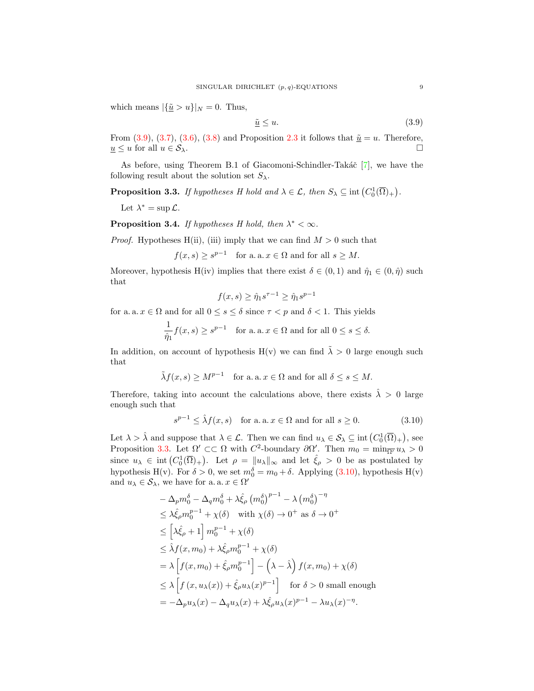which means  $|\{\underline{\tilde{u}} > u\}|_N = 0$ . Thus,

<span id="page-8-0"></span>
$$
\underline{\tilde{u}} \le u. \tag{3.9}
$$

From [\(3.9\)](#page-8-0), [\(3.7\)](#page-7-3), [\(3.6\)](#page-7-2), [\(3.8\)](#page-7-1) and Proposition [2.3](#page-4-0) it follows that  $\tilde{u} = u$ . Therefore,  $\underline{u} \leq u$  for all  $u \in \mathcal{S}_{\lambda}$ .

As before, using Theorem B.1 of Giacomoni-Schindler-Takáč  $[7]$ , we have the following result about the solution set  $S_{\lambda}$ .

<span id="page-8-1"></span>**Proposition 3.3.** If hypotheses H hold and  $\lambda \in \mathcal{L}$ , then  $S_{\lambda} \subseteq \text{int}(C_0^1(\overline{\Omega})_+)$ .

Let  $\lambda^* = \sup \mathcal{L}$ .

**Proposition 3.4.** If hypotheses H hold, then  $\lambda^* < \infty$ .

*Proof.* Hypotheses H(ii), (iii) imply that we can find  $M > 0$  such that

 $f(x, s) \geq s^{p-1}$  for a. a.  $x \in \Omega$  and for all  $s \geq M$ .

Moreover, hypothesis H(iv) implies that there exist  $\delta \in (0,1)$  and  $\hat{\eta}_1 \in (0,\hat{\eta})$  such that

<span id="page-8-2"></span>
$$
f(x, s) \ge \hat{\eta}_1 s^{\tau - 1} \ge \hat{\eta}_1 s^{p - 1}
$$

for a. a.  $x \in \Omega$  and for all  $0 \le s \le \delta$  since  $\tau < p$  and  $\delta < 1$ . This yields

$$
\frac{1}{\hat{\eta}_1} f(x, s) \ge s^{p-1} \quad \text{for a. a. } x \in \Omega \text{ and for all } 0 \le s \le \delta.
$$

In addition, on account of hypothesis H(v) we can find  $\tilde{\lambda} > 0$  large enough such that

$$
\tilde{\lambda}f(x, s) \ge M^{p-1}
$$
 for a. a.  $x \in \Omega$  and for all  $\delta \le s \le M$ .

Therefore, taking into account the calculations above, there exists  $\hat{\lambda} > 0$  large enough such that

$$
s^{p-1} \le \hat{\lambda} f(x, s) \quad \text{for a. a. } x \in \Omega \text{ and for all } s \ge 0. \tag{3.10}
$$

Let  $\lambda > \hat{\lambda}$  and suppose that  $\lambda \in \mathcal{L}$ . Then we can find  $u_{\lambda} \in \mathcal{S}_{\lambda} \subseteq \text{int}(C_0^1(\overline{\Omega})_+)$ , see Proposition [3.3.](#page-8-1) Let  $\Omega' \subset\subset \Omega$  with  $C^2$ -boundary  $\partial\Omega'$ . Then  $m_0 = \min_{\overline{\Omega'}} u_\lambda > 0$ since  $u_{\lambda} \in \text{int}(C_0^1(\overline{\Omega})_+)$ . Let  $\rho = ||u_{\lambda}||_{\infty}$  and let  $\hat{\xi}_{\rho} > 0$  be as postulated by hypothesis H(v). For  $\delta > 0$ , we set  $m_0^{\delta} = m_0 + \delta$ . Applying [\(3.10\)](#page-8-2), hypothesis H(v) and  $u_{\lambda} \in \mathcal{S}_{\lambda}$ , we have for a. a.  $x \in \Omega'$ 

$$
-\Delta_p m_0^{\delta} - \Delta_q m_0^{\delta} + \lambda \hat{\xi}_{\rho} (m_0^{\delta})^{p-1} - \lambda (m_0^{\delta})^{-\eta}
$$
  
\n
$$
\leq \lambda \hat{\xi}_{\rho} m_0^{p-1} + \chi(\delta) \quad \text{with } \chi(\delta) \to 0^+ \text{ as } \delta \to 0^+
$$
  
\n
$$
\leq \left[\lambda \hat{\xi}_{\rho} + 1\right] m_0^{p-1} + \chi(\delta)
$$
  
\n
$$
\leq \hat{\lambda} f(x, m_0) + \lambda \hat{\xi}_{\rho} m_0^{p-1} + \chi(\delta)
$$
  
\n
$$
= \lambda \left[f(x, m_0) + \hat{\xi}_{\rho} m_0^{p-1}\right] - (\lambda - \hat{\lambda}) f(x, m_0) + \chi(\delta)
$$
  
\n
$$
\leq \lambda \left[f(x, u_{\lambda}(x)) + \hat{\xi}_{\rho} u_{\lambda}(x)^{p-1}\right] \quad \text{for } \delta > 0 \text{ small enough}
$$
  
\n
$$
= -\Delta_p u_{\lambda}(x) - \Delta_q u_{\lambda}(x) + \lambda \hat{\xi}_{\rho} u_{\lambda}(x)^{p-1} - \lambda u_{\lambda}(x)^{-\eta}.
$$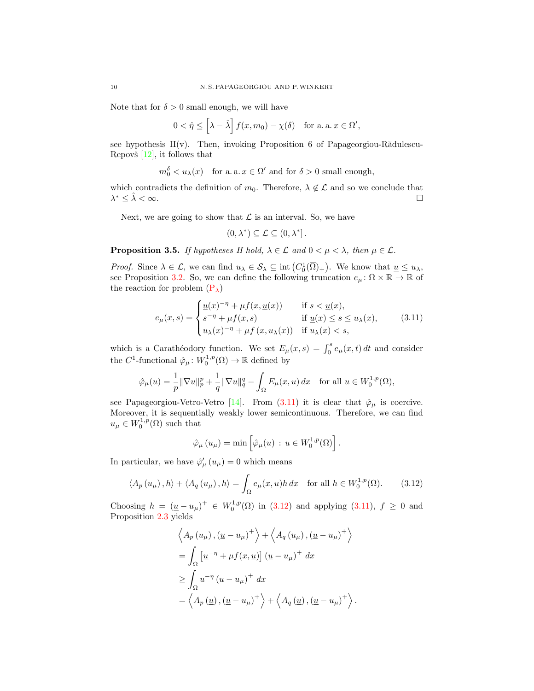Note that for  $\delta > 0$  small enough, we will have

$$
0 < \hat{\eta} \le \left[\lambda - \hat{\lambda}\right] f(x, m_0) - \chi(\delta) \quad \text{for a. a. } x \in \Omega',
$$

see hypothesis  $H(v)$ . Then, invoking Proposition 6 of Papageorgiou-Rădulescu-Repovš  $[12]$ , it follows that

$$
m_0^{\delta} < u_{\lambda}(x)
$$
 for a. a.  $x \in \Omega'$  and for  $\delta > 0$  small enough,

which contradicts the definition of  $m_0$ . Therefore,  $\lambda \notin \mathcal{L}$  and so we conclude that  $\lambda^* \leq \hat{\lambda} < \infty$ .

Next, we are going to show that  $\mathcal L$  is an interval. So, we have

<span id="page-9-0"></span>
$$
(0,\lambda^*)\subseteq \mathcal{L}\subseteq (0,\lambda^*].
$$

**Proposition 3.5.** If hypotheses H hold,  $\lambda \in \mathcal{L}$  and  $0 < \mu < \lambda$ , then  $\mu \in \mathcal{L}$ .

*Proof.* Since  $\lambda \in \mathcal{L}$ , we can find  $u_{\lambda} \in \mathcal{S}_{\lambda} \subseteq \text{int}(C_0^1(\overline{\Omega})_+)$ . We know that  $\underline{u} \leq u_{\lambda}$ , see Proposition [3.2.](#page-7-4) So, we can define the following truncation  $e_{\mu} \colon \Omega \times \mathbb{R} \to \mathbb{R}$  of the reaction for problem  $(P_{\lambda})$  $(P_{\lambda})$ 

$$
e_{\mu}(x,s) = \begin{cases} \frac{u(x)^{-\eta} + \mu f(x, \underline{u}(x))}{s^{-\eta} + \mu f(x,s)} & \text{if } s < \underline{u}(x), \\ u_{\lambda}(x)^{-\eta} + \mu f(x, u_{\lambda}(x)) & \text{if } u_{\lambda}(x) < s, \end{cases} \tag{3.11}
$$

which is a Carathéodory function. We set  $E_{\mu}(x, s) = \int_0^s e_{\mu}(x, t) dt$  and consider the  $C^1$ -functional  $\hat{\varphi}_{\mu} \colon W_0^{1,p}(\Omega) \to \mathbb{R}$  defined by

$$
\hat{\varphi}_{\mu}(u) = \frac{1}{p} \|\nabla u\|_p^p + \frac{1}{q} \|\nabla u\|_q^q - \int_{\Omega} E_{\mu}(x, u) dx \quad \text{for all } u \in W_0^{1, p}(\Omega),
$$

see Papageorgiou-Vetro-Vetro [\[14\]](#page-17-2). From [\(3.11\)](#page-9-0) it is clear that  $\hat{\varphi}_{\mu}$  is coercive. Moreover, it is sequentially weakly lower semicontinuous. Therefore, we can find  $u_{\mu} \in W_0^{1,p}(\Omega)$  such that

<span id="page-9-1"></span>
$$
\hat{\varphi}_{\mu}(u_{\mu}) = \min \left[ \hat{\varphi}_{\mu}(u) \, : \, u \in W_0^{1,p}(\Omega) \right].
$$

In particular, we have  $\hat{\varphi}'_{\mu}(u_{\mu})=0$  which means

$$
\langle A_p(u_\mu), h \rangle + \langle A_q(u_\mu), h \rangle = \int_{\Omega} e_\mu(x, u) h \, dx \quad \text{for all } h \in W_0^{1, p}(\Omega). \tag{3.12}
$$

Choosing  $h = (\underline{u} - u_{\mu})^+ \in W_0^{1,p}(\Omega)$  in [\(3.12\)](#page-9-1) and applying [\(3.11\)](#page-9-0),  $f \ge 0$  and Proposition [2.3](#page-4-0) yields

$$
\left\langle A_p(u_\mu), (\underline{u} - u_\mu)^+ \right\rangle + \left\langle A_q(u_\mu), (\underline{u} - u_\mu)^+ \right\rangle
$$
  
= 
$$
\int_{\Omega} \left[ \underline{u}^{-\eta} + \mu f(x, \underline{u}) \right] (\underline{u} - u_\mu)^+ dx
$$
  

$$
\geq \int_{\Omega} \underline{u}^{-\eta} (\underline{u} - u_\mu)^+ dx
$$
  
= 
$$
\left\langle A_p(\underline{u}), (\underline{u} - u_\mu)^+ \right\rangle + \left\langle A_q(\underline{u}), (\underline{u} - u_\mu)^+ \right\rangle.
$$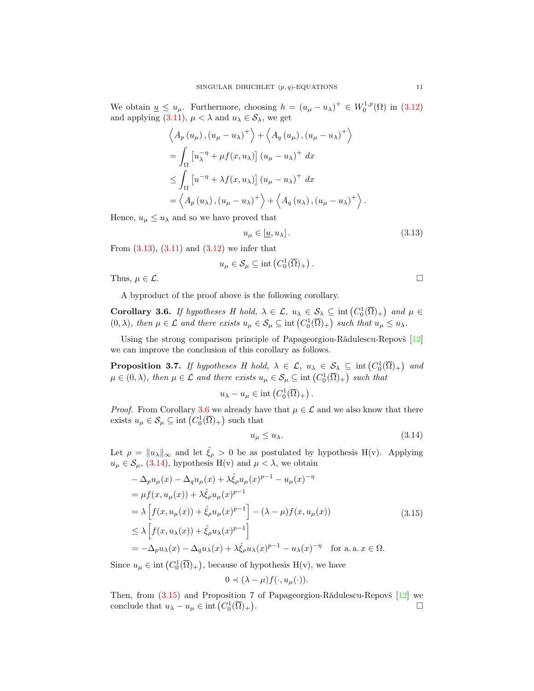We obtain  $\underline{u} \leq u_{\mu}$ . Furthermore, choosing  $h = (u_{\mu} - u_{\lambda})^+ \in W_0^{1,p}(\Omega)$  in [\(3.12\)](#page-9-1) and applying [\(3.11\)](#page-9-0),  $\mu < \lambda$  and  $u_{\lambda} \in S_{\lambda}$ , we get

$$
\left\langle A_p(u_\mu), (u_\mu - u_\lambda)^+ \right\rangle + \left\langle A_q(u_\mu), (u_\mu - u_\lambda)^+ \right\rangle
$$
  
=  $\int_{\Omega} \left[ u_\lambda^{-\eta} + \mu f(x, u_\lambda) \right] (u_\mu - u_\lambda)^+ dx$   
 $\leq \int_{\Omega} \left[ u^{-\eta} + \lambda f(x, u_\lambda) \right] (u_\mu - u_\lambda)^+ dx$   
=  $\left\langle A_p(u_\lambda), (u_\mu - u_\lambda)^+ \right\rangle + \left\langle A_q(u_\lambda), (u_\mu - u_\lambda)^+ \right\rangle.$ 

Hence,  $u_{\mu} \leq u_{\lambda}$  and so we have proved that

<span id="page-10-0"></span>
$$
u_{\mu} \in [\underline{u}, u_{\lambda}]. \tag{3.13}
$$

From  $(3.13)$ ,  $(3.11)$  and  $(3.12)$  we infer that

$$
u_{\mu} \in \mathcal{S}_{\mu} \subseteq \text{int}\left(C_0^1(\overline{\Omega})_+\right).
$$

Thus,  $\mu \in \mathcal{L}$ .

A byproduct of the proof above is the following corollary.

<span id="page-10-1"></span>Corollary 3.6. If hypotheses H hold,  $\lambda \in \mathcal{L}$ ,  $u_{\lambda} \in \mathcal{S}_{\lambda} \subseteq \text{int}(C_0^1(\overline{\Omega})_+)$  and  $\mu \in$  $(0, \lambda)$ , then  $\mu \in \mathcal{L}$  and there exists  $u_{\mu} \in \mathcal{S}_{\mu} \subseteq \text{int}(C_0^1(\overline{\Omega})_+)$  such that  $u_{\mu} \leq u_{\lambda}$ .

Using the strong comparison principle of Papageorgiou-R $\ddot{\text{add}}$ ulescu-Repovš [\[12\]](#page-17-1) we can improve the conclusion of this corollary as follows.

<span id="page-10-4"></span>**Proposition 3.7.** If hypotheses H hold,  $\lambda \in \mathcal{L}$ ,  $u_{\lambda} \in \mathcal{S}_{\lambda} \subseteq \text{int}(C_0^1(\overline{\Omega})_+)$  and  $\mu \in (0, \lambda)$ , then  $\mu \in \mathcal{L}$  and there exists  $u_{\mu} \in \mathcal{S}_{\mu} \subseteq \text{int}(C_0^1(\overline{\Omega})_+)$  such that

$$
u_{\lambda} - u_{\mu} \in \text{int}\left(C_0^1(\overline{\Omega})_+\right).
$$

*Proof.* From Corollary [3.6](#page-10-1) we already have that  $\mu \in \mathcal{L}$  and we also know that there exists  $u_{\mu} \in \mathcal{S}_{\mu} \subseteq \text{int}\left(C_0^1(\overline{\Omega})_+\right)$  such that

<span id="page-10-3"></span><span id="page-10-2"></span>
$$
u_{\mu} \le u_{\lambda}.\tag{3.14}
$$

Let  $\rho = ||u_{\lambda}||_{\infty}$  and let  $\hat{\xi}_{\rho} > 0$  be as postulated by hypothesis H(v). Applying  $u_{\mu} \in \mathcal{S}_{\mu}$ , [\(3.14\)](#page-10-2), hypothesis H(v) and  $\mu < \lambda$ , we obtain

$$
-\Delta_p u_\mu(x) - \Delta_q u_\mu(x) + \lambda \hat{\xi}_\rho u_\mu(x)^{p-1} - u_\mu(x)^{-\eta}
$$
  
\n
$$
= \mu f(x, u_\mu(x)) + \lambda \hat{\xi}_\rho u_\mu(x)^{p-1}
$$
  
\n
$$
= \lambda \left[ f(x, u_\mu(x)) + \hat{\xi}_\rho u_\mu(x)^{p-1} \right] - (\lambda - \mu) f(x, u_\mu(x))
$$
  
\n
$$
\leq \lambda \left[ f(x, u_\lambda(x)) + \hat{\xi}_\rho u_\lambda(x)^{p-1} \right]
$$
  
\n
$$
= -\Delta_p u_\lambda(x) - \Delta_q u_\lambda(x) + \lambda \hat{\xi}_\rho u_\lambda(x)^{p-1} - u_\lambda(x)^{-\eta} \quad \text{for a. a. } x \in \Omega.
$$
\n(3.15)

Since  $u_{\mu} \in \text{int}(C_0^1(\overline{\Omega})_+)$ , because of hypothesis  $H(v)$ , we have

$$
0 \prec (\lambda - \mu) f(\cdot, u_{\mu}(\cdot)).
$$

Then, from  $(3.15)$  and Proposition 7 of Papageorgiou-Rădulescu-Repovš [\[12\]](#page-17-1) we conclude that  $u_{\lambda} - u_{\mu} \in \text{int}\left(C_0^1(\overline{\Omega})_+\right)$ . В последните последните последните последните последните последните последните последните последните последн<br>В последните последните последните последните последните последните последните последните последните последнит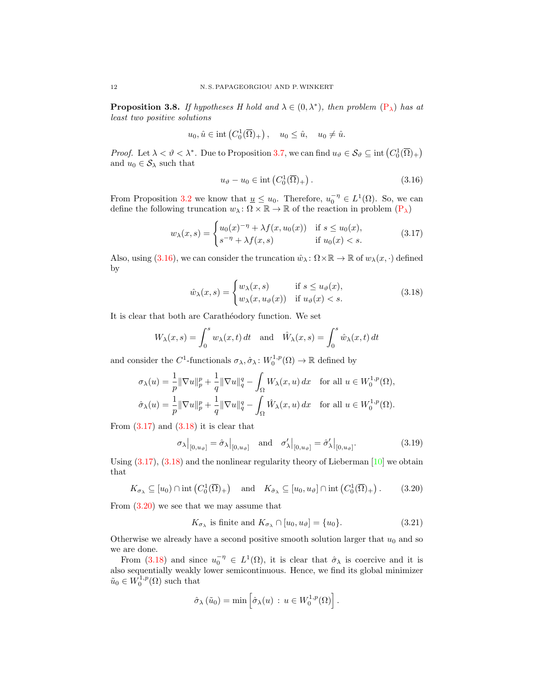<span id="page-11-6"></span>**Proposition 3.8.** If hypotheses H hold and  $\lambda \in (0, \lambda^*)$ , then problem  $(P_{\lambda})$  $(P_{\lambda})$  has at least two positive solutions

$$
u_0, \hat{u} \in \text{int}\left(C_0^1(\overline{\Omega})_+\right), \quad u_0 \leq \hat{u}, \quad u_0 \neq \hat{u}.
$$

*Proof.* Let  $\lambda < \vartheta < \lambda^*$ . Due to Proposition [3.7,](#page-10-4) we can find  $u_{\vartheta} \in \mathcal{S}_{\vartheta} \subseteq \text{int}(C_0^1(\overline{\Omega})_+)$ and  $u_0 \in S_\lambda$  such that

<span id="page-11-2"></span><span id="page-11-1"></span><span id="page-11-0"></span>
$$
u_{\vartheta} - u_0 \in \text{int}\left(C_0^1(\overline{\Omega})_+\right). \tag{3.16}
$$

From Proposition [3.2](#page-7-4) we know that  $\underline{u} \leq u_0$ . Therefore,  $u_0^{-\eta} \in L^1(\Omega)$ . So, we can define the following truncation  $w_\lambda \colon \Omega \times \mathbb{R} \to \mathbb{R}$  of the reaction in problem  $(P_\lambda)$  $(P_\lambda)$ 

$$
w_{\lambda}(x,s) = \begin{cases} u_0(x)^{-\eta} + \lambda f(x, u_0(x)) & \text{if } s \le u_0(x), \\ s^{-\eta} + \lambda f(x,s) & \text{if } u_0(x) < s. \end{cases}
$$
 (3.17)

Also, using [\(3.16\)](#page-11-0), we can consider the truncation  $\hat{w}_{\lambda} : \Omega \times \mathbb{R} \to \mathbb{R}$  of  $w_{\lambda}(x, \cdot)$  defined by

$$
\hat{w}_{\lambda}(x,s) = \begin{cases} w_{\lambda}(x,s) & \text{if } s \le u_{\vartheta}(x), \\ w_{\lambda}(x,u_{\vartheta}(x)) & \text{if } u_{\vartheta}(x) < s. \end{cases}
$$
\n(3.18)

It is clear that both are Carathéodory function. We set

$$
W_{\lambda}(x,s) = \int_0^s w_{\lambda}(x,t) dt \text{ and } \hat{W}_{\lambda}(x,s) = \int_0^s \hat{w}_{\lambda}(x,t) dt
$$

and consider the C<sup>1</sup>-functionals  $\sigma_{\lambda}, \hat{\sigma}_{\lambda} : W_0^{1,p}(\Omega) \to \mathbb{R}$  defined by

$$
\sigma_{\lambda}(u) = \frac{1}{p} \|\nabla u\|_{p}^{p} + \frac{1}{q} \|\nabla u\|_{q}^{q} - \int_{\Omega} W_{\lambda}(x, u) dx \quad \text{for all } u \in W_{0}^{1, p}(\Omega),
$$
  

$$
\hat{\sigma}_{\lambda}(u) = \frac{1}{p} \|\nabla u\|_{p}^{p} + \frac{1}{q} \|\nabla u\|_{q}^{q} - \int_{\Omega} \hat{W}_{\lambda}(x, u) dx \quad \text{for all } u \in W_{0}^{1, p}(\Omega).
$$

From  $(3.17)$  and  $(3.18)$  it is clear that

<span id="page-11-4"></span>
$$
\sigma_{\lambda}|_{[0,u_{\vartheta}]} = \hat{\sigma}_{\lambda}|_{[0,u_{\vartheta}]} \quad \text{and} \quad \sigma_{\lambda}'|_{[0,u_{\vartheta}]} = \hat{\sigma}_{\lambda}'|_{[0,u_{\vartheta}]}.
$$
 (3.19)

Using  $(3.17)$ ,  $(3.18)$  and the nonlinear regularity theory of Lieberman  $[10]$  we obtain that

$$
K_{\sigma_{\lambda}} \subseteq [u_0) \cap \text{int}\left(C_0^1(\overline{\Omega})_+\right) \text{ and } K_{\hat{\sigma}_{\lambda}} \subseteq [u_0, u_{\vartheta}] \cap \text{int}\left(C_0^1(\overline{\Omega})_+\right).
$$
 (3.20)

From [\(3.20\)](#page-11-3) we see that we may assume that

<span id="page-11-5"></span><span id="page-11-3"></span>
$$
K_{\sigma_{\lambda}} \text{ is finite and } K_{\sigma_{\lambda}} \cap [u_0, u_{\vartheta}] = \{u_0\}. \tag{3.21}
$$

Otherwise we already have a second positive smooth solution larger that  $u_0$  and so we are done.

From [\(3.18\)](#page-11-2) and since  $u_0^{-\eta} \in L^1(\Omega)$ , it is clear that  $\hat{\sigma}_\lambda$  is coercive and it is also sequentially weakly lower semicontinuous. Hence, we find its global minimizer  $\tilde{u}_0 \in W_0^{1,p}(\Omega)$  such that

$$
\hat{\sigma}_{\lambda}(\tilde{u}_0) = \min \left[ \hat{\sigma}_{\lambda}(u) : u \in W_0^{1,p}(\Omega) \right].
$$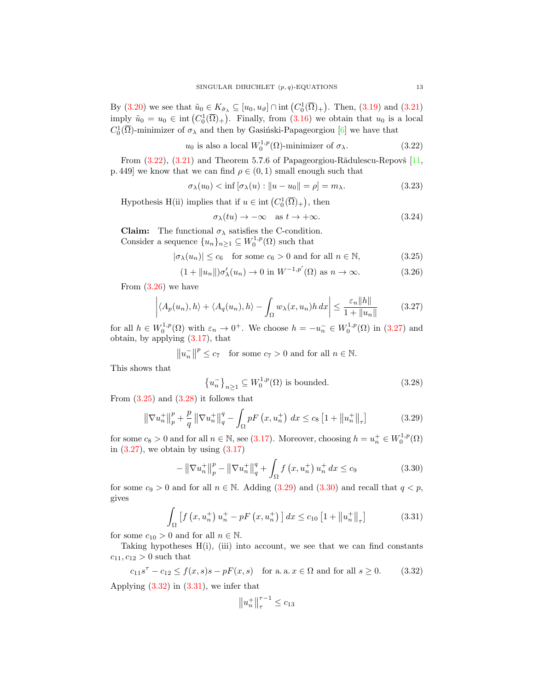By [\(3.20\)](#page-11-3) we see that  $\tilde{u}_0 \in K_{\hat{\sigma}_\lambda} \subseteq [u_0, u_\vartheta] \cap \text{int}(C_0^1(\overline{\Omega})_+)$ . Then, [\(3.19\)](#page-11-4) and [\(3.21\)](#page-11-5) imply  $\tilde{u}_0 = u_0 \in \text{int} (C_0^1(\overline{\Omega})_+)$ . Finally, from  $(3.16)$  we obtain that  $u_0$  is a local  $C_0^1(\overline{\Omega})$ -minimizer of  $\sigma_{\lambda}$  and then by Gasiński-Papageorgiou [\[6\]](#page-16-6) we have that

$$
u_0
$$
 is also a local  $W_0^{1,p}(\Omega)$ -minimizer of  $\sigma_\lambda$ . (3.22)

From  $(3.22)$ ,  $(3.21)$  and Theorem 5.7.6 of Papageorgiou-R $\ddot{a}$ dulescu-Repov $\ddot{b}$  [\[11,](#page-17-9) p. 449] we know that we can find  $\rho \in (0,1)$  small enough such that

$$
\sigma_{\lambda}(u_0) < \inf \left[ \sigma_{\lambda}(u) : \|u - u_0\| = \rho \right] = m_{\lambda}.\tag{3.23}
$$

Hypothesis H(ii) implies that if  $u \in \text{int}(C_0^1(\overline{\Omega})_+)$ , then

<span id="page-12-10"></span><span id="page-12-9"></span><span id="page-12-3"></span><span id="page-12-2"></span><span id="page-12-1"></span><span id="page-12-0"></span>
$$
\sigma_{\lambda}(tu) \to -\infty \quad \text{as } t \to +\infty. \tag{3.24}
$$

**Claim:** The functional  $\sigma_{\lambda}$  satisfies the C-condition. Consider a sequence  $\{u_n\}_{n\geq 1} \subseteq W_0^{1,p}(\Omega)$  such that

$$
|\sigma_{\lambda}(u_n)| \le c_6 \quad \text{for some } c_6 > 0 \text{ and for all } n \in \mathbb{N}, \tag{3.25}
$$

$$
(1 + ||u_n||)\sigma'_{\lambda}(u_n) \to 0 \text{ in } W^{-1,p'}(\Omega) \text{ as } n \to \infty.
$$
 (3.26)

From  $(3.26)$  we have

$$
\left| \langle A_p(u_n), h \rangle + \langle A_q(u_n), h \rangle - \int_{\Omega} w_{\lambda}(x, u_n) h \, dx \right| \le \frac{\varepsilon_n ||h||}{1 + ||u_n||} \tag{3.27}
$$

for all  $h \in W_0^{1,p}(\Omega)$  with  $\varepsilon_n \to 0^+$ . We choose  $h = -u_n^- \in W_0^{1,p}(\Omega)$  in  $(3.27)$  and obtain, by applying  $(3.17)$ , that

$$
||u_n^-||^p \le c_7
$$
 for some  $c_7 > 0$  and for all  $n \in \mathbb{N}$ .

This shows that

<span id="page-12-5"></span><span id="page-12-4"></span>
$$
\left\{u_n^-\right\}_{n\geq 1} \subseteq W_0^{1,p}(\Omega) \text{ is bounded.}
$$
\n
$$
(3.28)
$$

From  $(3.25)$  and  $(3.28)$  it follows that

$$
\left\|\nabla u_{n}^{+}\right\|_{p}^{p} + \frac{p}{q} \left\|\nabla u_{n}^{+}\right\|_{q}^{q} - \int_{\Omega} pF\left(x, u_{n}^{+}\right) dx \le c_{8} \left[1 + \left\|u_{n}^{+}\right\|_{\tau}\right] \tag{3.29}
$$

for some  $c_8 > 0$  and for all  $n \in \mathbb{N}$ , see [\(3.17\)](#page-11-1). Moreover, choosing  $h = u_n^+ \in W_0^{1,p}(\Omega)$ in  $(3.27)$ , we obtain by using  $(3.17)$ 

$$
-\left\|\nabla u_{n}^{+}\right\|_{p}^{p}-\left\|\nabla u_{n}^{+}\right\|_{q}^{q}+\int_{\Omega} f\left(x, u_{n}^{+}\right) u_{n}^{+} dx \leq c_{9} \tag{3.30}
$$

for some  $c_9 > 0$  and for all  $n \in \mathbb{N}$ . Adding [\(3.29\)](#page-12-5) and [\(3.30\)](#page-12-6) and recall that  $q < p$ , gives

$$
\int_{\Omega} \left[ f \left( x, u_n^+ \right) u_n^+ - p F \left( x, u_n^+ \right) \right] dx \le c_{10} \left[ 1 + \left\| u_n^+ \right\|_{\tau} \right] \tag{3.31}
$$

for some  $c_{10} > 0$  and for all  $n \in \mathbb{N}$ .

Taking hypotheses  $H(i)$ , (iii) into account, we see that we can find constants  $c_{11}, c_{12} > 0$  such that

 $c_{11}s^{\tau} - c_{12} \le f(x, s)s - pF(x, s)$  for a. a.  $x \in \Omega$  and for all  $s \ge 0$ . (3.32) Applying [\(3.32\)](#page-12-7) in [\(3.31\)](#page-12-8), we infer that

<span id="page-12-8"></span><span id="page-12-7"></span><span id="page-12-6"></span>
$$
\left\|u_n^+\right\|_{\tau}^{\tau-1}\le c_{13}
$$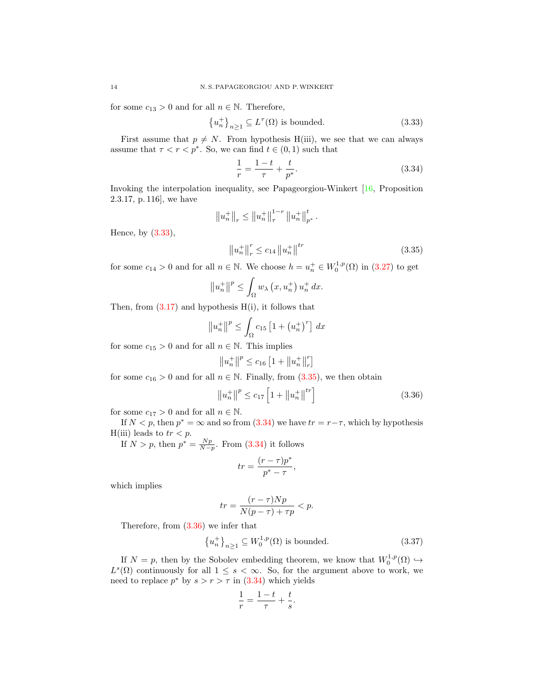for some  $c_{13} > 0$  and for all  $n \in \mathbb{N}$ . Therefore,

$$
\{u_n^+\}_{n\geq 1} \subseteq L^\tau(\Omega) \text{ is bounded.}
$$
 (3.33)

First assume that  $p \neq N$ . From hypothesis H(iii), we see that we can always assume that  $\tau < r < p^*$ . So, we can find  $t \in (0,1)$  such that

$$
\frac{1}{r} = \frac{1-t}{\tau} + \frac{t}{p^*}.\tag{3.34}
$$

Invoking the interpolation inequality, see Papageorgiou-Winkert [\[16,](#page-17-10) Proposition 2.3.17, p. 116], we have

$$
||u_n^+||_r \le ||u_n^+||^{1-r}_\tau ||u_n^+||^t_{p^*}
$$

Hence, by [\(3.33\)](#page-13-0),

$$
\|u_n^+\|_r^r \le c_{14} \|u_n^+\|^{tr} \tag{3.35}
$$

<span id="page-13-2"></span><span id="page-13-1"></span><span id="page-13-0"></span>.

for some  $c_{14} > 0$  and for all  $n \in \mathbb{N}$ . We choose  $h = u_n^+ \in W_0^{1,p}(\Omega)$  in  $(3.27)$  to get

$$
||u_n^+||^p \le \int_{\Omega} w_{\lambda} (x, u_n^+) u_n^+ dx.
$$

Then, from  $(3.17)$  and hypothesis  $H(i)$ , it follows that

$$
\left\|u_{n}^{+}\right\|^{p} \leq \int_{\Omega} c_{15} \left[1+\left(u_{n}^{+}\right)^{r}\right] dx
$$

for some  $c_{15} > 0$  and for all  $n \in \mathbb{N}$ . This implies

$$
||u_n^+||^p \le c_{16} \left[1 + ||u_n^+||_r^r\right]
$$

for some  $c_{16} > 0$  and for all  $n \in \mathbb{N}$ . Finally, from  $(3.35)$ , we then obtain

$$
||u_n^+||^p \le c_{17} \left[1 + ||u_n^+||^{tr}\right]
$$
 (3.36)

for some  $c_{17} > 0$  and for all  $n \in \mathbb{N}$ .

If  $N < p$ , then  $p^* = \infty$  and so from  $(3.34)$  we have  $tr = r - \tau$ , which by hypothesis H(iii) leads to  $tr < p$ .

If  $N > p$ , then  $p^* = \frac{Np}{N-p}$ . From [\(3.34\)](#page-13-2) it follows

<span id="page-13-3"></span>
$$
tr = \frac{(r - \tau)p^*}{p^* - \tau},
$$

which implies

$$
tr = \frac{(r - \tau)Np}{N(p - \tau) + \tau p} < p.
$$

Therefore, from [\(3.36\)](#page-13-3) we infer that

$$
\left\{u_n^+\right\}_{n\geq 1} \subseteq W_0^{1,p}(\Omega) \text{ is bounded.} \tag{3.37}
$$

If  $N = p$ , then by the Sobolev embedding theorem, we know that  $W_0^{1,p}(\Omega) \hookrightarrow$  $L^s(\Omega)$  continuously for all  $1 \leq s < \infty$ . So, for the argument above to work, we need to replace  $p^*$  by  $s > r > \tau$  in  $(3.34)$  which yields

<span id="page-13-4"></span>
$$
\frac{1}{r} = \frac{1-t}{\tau} + \frac{t}{s}.
$$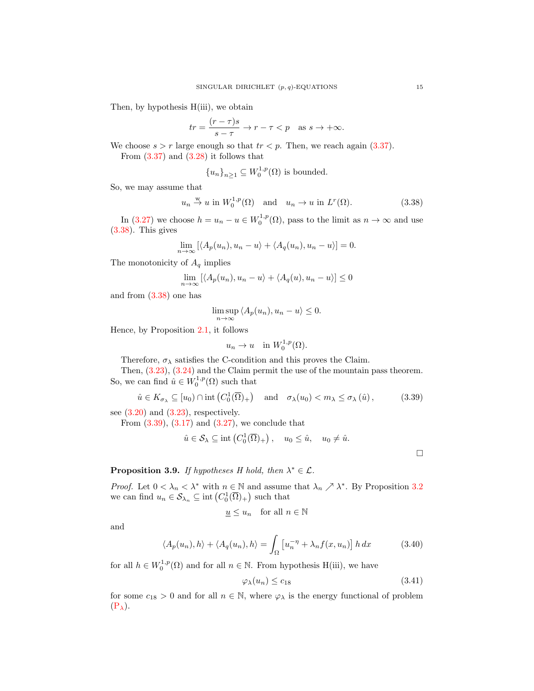Then, by hypothesis  $H(iii)$ , we obtain

$$
tr = \frac{(r - \tau)s}{s - \tau} \to r - \tau < p \quad \text{as } s \to +\infty.
$$

We choose  $s > r$  large enough so that  $tr < p$ . Then, we reach again [\(3.37\)](#page-13-4). From  $(3.37)$  and  $(3.28)$  it follows that

<span id="page-14-0"></span>
$$
{u_n}_{n\geq 1} \subseteq W_0^{1,p}(\Omega)
$$
 is bounded.

So, we may assume that

$$
u_n \stackrel{\text{w}}{\rightarrow} u
$$
 in  $W_0^{1,p}(\Omega)$  and  $u_n \rightarrow u$  in  $L^r(\Omega)$ . (3.38)

In [\(3.27\)](#page-12-2) we choose  $h = u_n - u \in W_0^{1,p}(\Omega)$ , pass to the limit as  $n \to \infty$  and use [\(3.38\)](#page-14-0). This gives

$$
\lim_{n \to \infty} [\langle A_p(u_n), u_n - u \rangle + \langle A_q(u_n), u_n - u \rangle] = 0.
$$

The monotonicity of  $A_q$  implies

$$
\lim_{n \to \infty} [\langle A_p(u_n), u_n - u \rangle + \langle A_q(u), u_n - u \rangle] \le 0
$$

and from [\(3.38\)](#page-14-0) one has

$$
\limsup_{n \to \infty} \langle A_p(u_n), u_n - u \rangle \le 0.
$$

Hence, by Proposition [2.1,](#page-2-1) it follows

$$
u_n \to u \quad \text{in } W_0^{1,p}(\Omega).
$$

Therefore,  $\sigma_{\lambda}$  satisfies the C-condition and this proves the Claim.

Then, [\(3.23\)](#page-12-9), [\(3.24\)](#page-12-10) and the Claim permit the use of the mountain pass theorem. So, we can find  $\hat{u} \in W_0^{1,p}(\Omega)$  such that

$$
\hat{u} \in K_{\sigma_{\lambda}} \subseteq [u_0) \cap \text{int}\left(C_0^1(\overline{\Omega})_+\right) \quad \text{and} \quad \sigma_{\lambda}(u_0) < m_{\lambda} \leq \sigma_{\lambda}(\hat{u}),\tag{3.39}
$$

see  $(3.20)$  and  $(3.23)$ , respectively.

From  $(3.39)$ ,  $(3.17)$  and  $(3.27)$ , we conclude that

$$
\hat{u} \in \mathcal{S}_{\lambda} \subseteq \text{int}\left(C_0^1(\overline{\Omega})_+\right), \quad u_0 \leq \hat{u}, \quad u_0 \neq \hat{u}.
$$

# **Proposition 3.9.** If hypotheses H hold, then  $\lambda^* \in \mathcal{L}$ .

*Proof.* Let  $0 < \lambda_n < \lambda^*$  with  $n \in \mathbb{N}$  and assume that  $\lambda_n \nearrow \lambda^*$ . By Proposition [3.2](#page-7-4) we can find  $u_n \in \mathcal{S}_{\lambda_n} \subseteq \text{int}\left(C_0^1(\overline{\Omega})_+\right)$  such that

$$
\underline{u} \le u_n \quad \text{for all } n \in \mathbb{N}
$$

and

$$
\langle A_p(u_n), h \rangle + \langle A_q(u_n), h \rangle = \int_{\Omega} \left[ u_n^{-\eta} + \lambda_n f(x, u_n) \right] h \, dx \tag{3.40}
$$

for all  $h \in W_0^{1,p}(\Omega)$  and for all  $n \in \mathbb{N}$ . From hypothesis H(iii), we have

$$
\varphi_{\lambda}(u_n) \le c_{18} \tag{3.41}
$$

for some  $c_{18} > 0$  and for all  $n \in \mathbb{N}$ , where  $\varphi_{\lambda}$  is the energy functional of problem  $(P_{\lambda}).$  $(P_{\lambda}).$ 

<span id="page-14-3"></span><span id="page-14-2"></span><span id="page-14-1"></span> $\Box$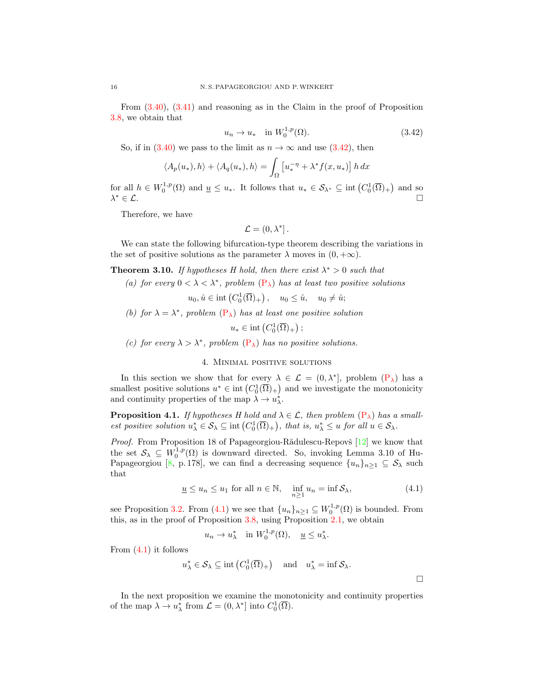From [\(3.40\)](#page-14-2), [\(3.41\)](#page-14-3) and reasoning as in the Claim in the proof of Proposition [3.8,](#page-11-6) we obtain that

<span id="page-15-0"></span>
$$
u_n \to u_* \quad \text{in } W_0^{1,p}(\Omega). \tag{3.42}
$$

So, if in  $(3.40)$  we pass to the limit as  $n \to \infty$  and use  $(3.42)$ , then

$$
\langle A_p(u_*), h \rangle + \langle A_q(u_*), h \rangle = \int_{\Omega} \left[ u_*^{-\eta} + \lambda^* f(x, u_*) \right] h \, dx
$$

for all  $h \in W_0^{1,p}(\Omega)$  and  $\underline{u} \leq u_*$ . It follows that  $u_* \in \mathcal{S}_{\lambda^*} \subseteq \text{int}(C_0^1(\overline{\Omega})_+)$  and so  $\lambda^* \in \mathcal{L}$ .  $* \in \mathcal{L}.$ 

Therefore, we have

$$
\mathcal{L} = (0, \lambda^*].
$$

We can state the following bifurcation-type theorem describing the variations in the set of positive solutions as the parameter  $\lambda$  moves in  $(0, +\infty)$ .

**Theorem 3.10.** If hypotheses H hold, then there exist  $\lambda^* > 0$  such that

(a) for every  $0 < \lambda < \lambda^*$ , problem  $(P_{\lambda})$  $(P_{\lambda})$  has at least two positive solutions

$$
u_0, \hat{u} \in \text{int}\left(C_0^1(\overline{\Omega})_+\right), \quad u_0 \leq \hat{u}, \quad u_0 \neq \hat{u};
$$

(b) for  $\lambda = \lambda^*$ , problem  $(P_{\lambda})$  $(P_{\lambda})$  has at least one positive solution

 $u_* \in \text{int}\left(C_0^1(\overline{\Omega})_+\right);$ 

(c) for every  $\lambda > \lambda^*$ , problem  $(P_{\lambda})$  $(P_{\lambda})$  has no positive solutions.

## 4. Minimal positive solutions

In this section we show that for every  $\lambda \in \mathcal{L} = (0, \lambda^*]$ , problem  $(P_{\lambda})$  $(P_{\lambda})$  has a smallest positive solutions  $u^* \in \text{int}(C_0^1(\overline{\Omega})_+)$  and we investigate the monotonicity and continuity properties of the map  $\lambda \to u_{\lambda}^*$ .

**Proposition 4.1.** If hypotheses H hold and  $\lambda \in \mathcal{L}$ , then problem  $(P_{\lambda})$  $(P_{\lambda})$  has a smallest positive solution  $u^*_{\lambda} \in \mathcal{S}_{\lambda} \subseteq \text{int}(C_0^1(\overline{\Omega})_+)$ , that is,  $u^*_{\lambda} \leq u$  for all  $u \in \mathcal{S}_{\lambda}$ .

*Proof.* From Proposition 18 of Papageorgiou-R $\ddot{a}$ dulescu-Repovš [\[12\]](#page-17-1) we know that the set  $S_{\lambda} \subseteq W_0^{1,p}(\Omega)$  is downward directed. So, invoking Lemma 3.10 of Hu-Papageorgiou [\[8,](#page-17-11) p. 178], we can find a decreasing sequence  $\{u_n\}_{n\geq 1} \subseteq S_\lambda$  such that

$$
\underline{u} \le u_n \le u_1 \text{ for all } n \in \mathbb{N}, \quad \inf_{n \ge 1} u_n = \inf \mathcal{S}_\lambda,\tag{4.1}
$$

<span id="page-15-1"></span> $\Box$ 

see Proposition [3.2.](#page-7-4) From [\(4.1\)](#page-15-1) we see that  $\{u_n\}_{n\geq 1} \subseteq W_0^{1,p}(\Omega)$  is bounded. From this, as in the proof of Proposition [3.8,](#page-11-6) using Proposition [2.1,](#page-2-1) we obtain

$$
u_n \to u_\lambda^*
$$
 in  $W_0^{1,p}(\Omega)$ ,  $\underline{u} \leq u_\lambda^*$ .

From [\(4.1\)](#page-15-1) it follows

$$
u_{\lambda}^* \in \mathcal{S}_{\lambda} \subseteq \text{int}\left(C_0^1(\overline{\Omega})_+\right) \quad \text{and} \quad u_{\lambda}^* = \text{inf } \mathcal{S}_{\lambda}.
$$

In the next proposition we examine the monotonicity and continuity properties of the map  $\lambda \to u_{\lambda}^*$  from  $\mathcal{L} = (0, \lambda^*]$  into  $C_0^1(\overline{\Omega})$ .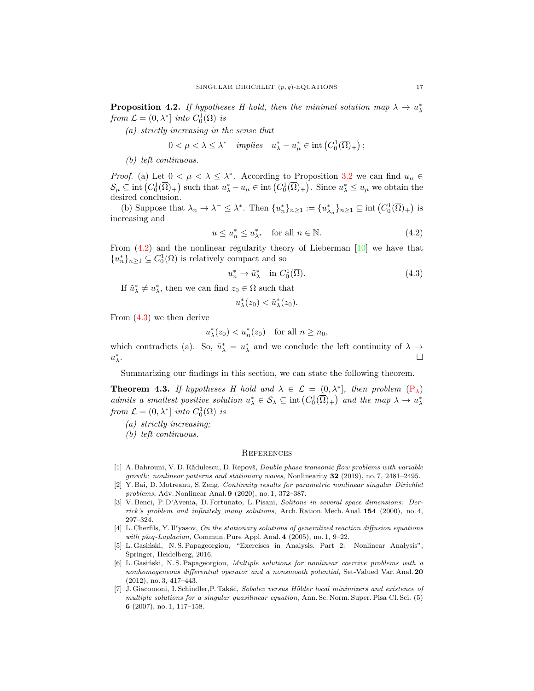**Proposition 4.2.** If hypotheses H hold, then the minimal solution map  $\lambda \to u_{\lambda}^*$ from  $\mathcal{L} = (0, \lambda^*]$  into  $C_0^1(\overline{\Omega})$  is

(a) strictly increasing in the sense that

$$
0 < \mu < \lambda \leq \lambda^* \quad implies \quad u_{\lambda}^* - u_{\mu}^* \in \mathrm{int}\left(C_0^1(\overline{\Omega})_+\right);
$$

(b) left continuous.

*Proof.* (a) Let  $0 < \mu < \lambda \leq \lambda^*$ . According to Proposition [3.2](#page-7-4) we can find  $u_{\mu} \in$  $\mathcal{S}_{\mu} \subseteq \text{int}\left(C_0^1(\overline{\Omega})_+\right)$  such that  $u_{\lambda}^* - u_{\mu} \in \text{int}\left(C_0^1(\overline{\Omega})_+\right)$ . Since  $u_{\lambda}^* \leq u_{\mu}$  we obtain the desired conclusion.

(b) Suppose that  $\lambda_n \to \lambda^- \leq \lambda^*$ . Then  $\{u_n^*\}_{n\geq 1} := \{u_{\lambda_n}^*\}_{n\geq 1} \subseteq \text{int}\left(C_0^1(\overline{\Omega})_+\right)$  is increasing and

$$
\underline{u} \le u_n^* \le u_{\lambda^*}^* \quad \text{for all } n \in \mathbb{N}.\tag{4.2}
$$

From  $(4.2)$  and the nonlinear regularity theory of Lieberman [\[10\]](#page-17-8) we have that  ${u_n^*}_{n \geq 1} \subseteq C_0^1(\overline{\Omega})$  is relatively compact and so

<span id="page-16-7"></span>
$$
u_n^* \to \tilde{u}_\lambda^* \quad \text{in } C_0^1(\overline{\Omega}). \tag{4.3}
$$

If  $\tilde{u}^*_{\lambda} \neq u^*_{\lambda}$ , then we can find  $z_0 \in \Omega$  such that

<span id="page-16-8"></span>
$$
u_{\lambda}^*(z_0) < \tilde{u}_{\lambda}^*(z_0).
$$

From [\(4.3\)](#page-16-8) we then derive

$$
u_{\lambda}^*(z_0) < u_n^*(z_0) \quad \text{for all } n \ge n_0,
$$

which contradicts (a). So,  $\tilde{u}^*_{\lambda} = u^*_{\lambda}$  and we conclude the left continuity of  $\lambda \to$  $u_\lambda^*$ .

Summarizing our findings in this section, we can state the following theorem.

**Theorem 4.3.** If hypotheses H hold and  $\lambda \in \mathcal{L} = (0, \lambda^*)$ , then problem  $(P_{\lambda})$  $(P_{\lambda})$ admits a smallest positive solution  $u^*_{\lambda} \in \mathcal{S}_{\lambda} \subseteq \text{int}(C_0^1(\overline{\Omega})_+)$  and the map  $\lambda \to u^*_{\lambda}$ from  $\mathcal{L} = (0, \lambda^*]$  into  $C_0^1(\overline{\Omega})$  is

(a) strictly increasing;

(b) left continuous.

#### **REFERENCES**

- <span id="page-16-1"></span>[1] A. Bahrouni, V. D. Rădulescu, D. Repovš, *Double phase transonic flow problems with variable* growth: nonlinear patterns and stationary waves, Nonlinearity 32 (2019), no. 7, 2481–2495.
- <span id="page-16-0"></span>[2] Y. Bai, D. Motreanu, S. Zeng, Continuity results for parametric nonlinear singular Dirichlet problems, Adv. Nonlinear Anal. 9 (2020), no. 1, 372–387.
- <span id="page-16-2"></span>[3] V. Benci, P. D'Avenia, D. Fortunato, L. Pisani, Solitons in several space dimensions: Derrick's problem and infinitely many solutions, Arch. Ration. Mech. Anal. 154 (2000), no. 4, 297–324.
- <span id="page-16-3"></span> $[4]$  L. Cherfils, Y. Il'yasov, On the stationary solutions of generalized reaction diffusion equations with  $p\&q$ -Laplacian, Commun. Pure Appl. Anal. 4 (2005), no. 1, 9–22.
- <span id="page-16-4"></span>[5] L. Gasiński, N. S. Papageorgiou, "Exercises in Analysis. Part 2: Nonlinear Analysis", Springer, Heidelberg, 2016.
- <span id="page-16-6"></span>[6] L. Gasiński, N. S. Papageorgiou, Multiple solutions for nonlinear coercive problems with a nonhomogeneous differential operator and a nonsmooth potential, Set-Valued Var. Anal. 20 (2012), no. 3, 417–443.
- <span id="page-16-5"></span>[7] J. Giacomoni, I. Schindler, P. Takáč, Sobolev versus Hölder local minimizers and existence of multiple solutions for a singular quasilinear equation, Ann. Sc. Norm. Super. Pisa Cl. Sci. (5) 6 (2007), no. 1, 117–158.